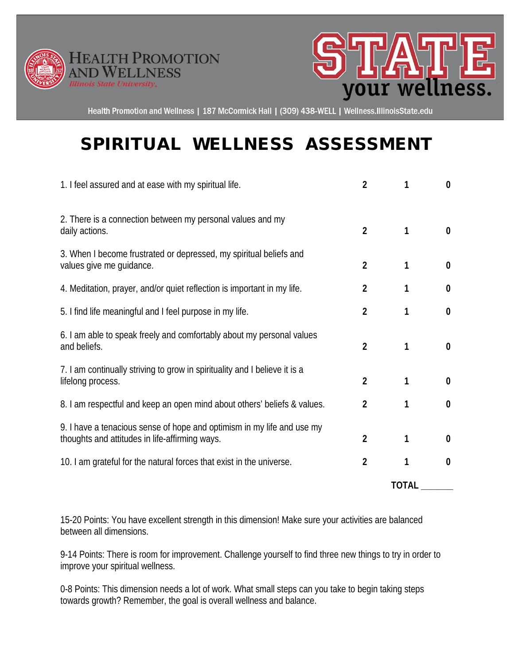



Health Promotion and Wellness | 187 McCormick Hall | (309) 438-WELL | Wellness.IllinoisState.edu

## SPIRITUAL WELLNESS ASSESSMENT

| 1. I feel assured and at ease with my spiritual life.                                                                    | $\overline{2}$ | 1            | $\bf{0}$         |
|--------------------------------------------------------------------------------------------------------------------------|----------------|--------------|------------------|
| 2. There is a connection between my personal values and my<br>daily actions.                                             | $\overline{2}$ | 1            | $\boldsymbol{0}$ |
| 3. When I become frustrated or depressed, my spiritual beliefs and<br>values give me guidance.                           | $\overline{2}$ | 1            | $\boldsymbol{0}$ |
| 4. Meditation, prayer, and/or quiet reflection is important in my life.                                                  | $\overline{2}$ | 1            | $\boldsymbol{0}$ |
| 5. I find life meaningful and I feel purpose in my life.                                                                 | $\overline{2}$ | 1            | $\boldsymbol{0}$ |
| 6. I am able to speak freely and comfortably about my personal values<br>and beliefs.                                    | $\overline{2}$ | 1            | $\bf{0}$         |
| 7. I am continually striving to grow in spirituality and I believe it is a<br>lifelong process.                          | $\overline{2}$ | 1            | $\bf{0}$         |
| 8. I am respectful and keep an open mind about others' beliefs & values.                                                 | $\overline{2}$ | 1            | $\boldsymbol{0}$ |
| 9. I have a tenacious sense of hope and optimism in my life and use my<br>thoughts and attitudes in life-affirming ways. | $\overline{2}$ | 1            | 0                |
| 10. I am grateful for the natural forces that exist in the universe.                                                     | $\overline{2}$ | 1            | $\bf{0}$         |
|                                                                                                                          |                | <b>TOTAL</b> |                  |

15-20 Points: You have excellent strength in this dimension! Make sure your activities are balanced between all dimensions.

9-14 Points: There is room for improvement. Challenge yourself to find three new things to try in order to improve your spiritual wellness.

0-8 Points: This dimension needs a lot of work. What small steps can you take to begin taking steps towards growth? Remember, the goal is overall wellness and balance.